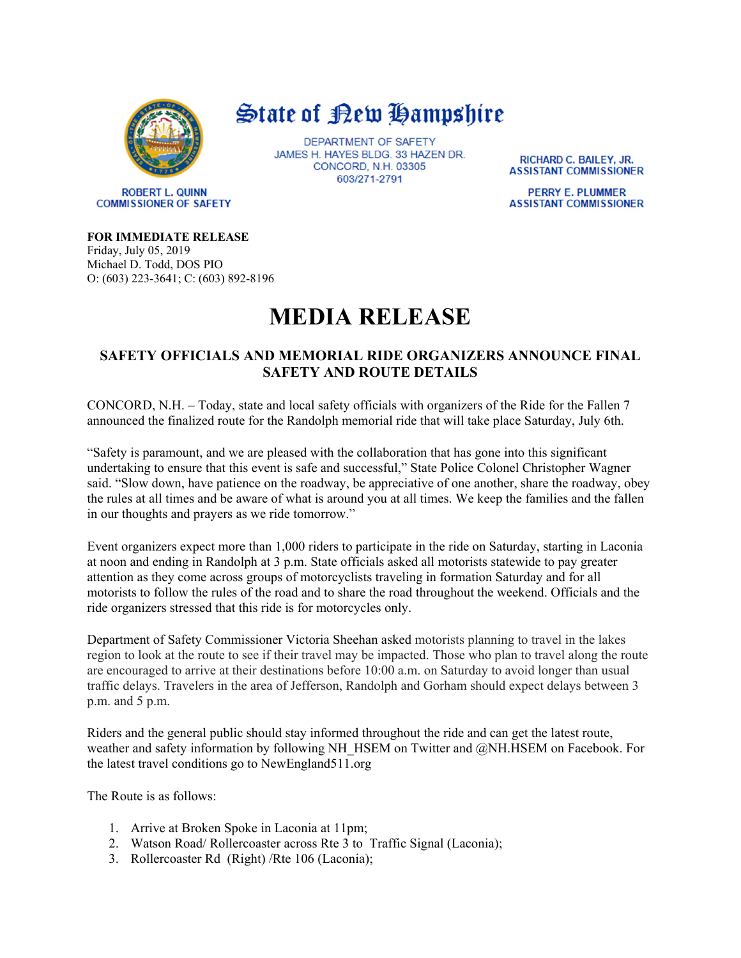

**ROBERT L. QUINN** 

**COMMISSIONER OF SAFETY** 

## State of Kew Hampshire

DEPARTMENT OF SAFETY JAMES H. HAYES BLDG. 33 HAZEN DR. **CONCORD, N.H. 03305** 603/271-2791

RICHARD C. BAILEY, JR. **ASSISTANT COMMISSIONER** 

**PERRY E. PLUMMER ASSISTANT COMMISSIONER** 

**FOR IMMEDIATE RELEASE**

Friday, July 05, 2019 Michael D. Todd, DOS PIO O: (603) 223-3641; C: (603) 892-8196

## **MEDIA RELEASE**

## **SAFETY OFFICIALS AND MEMORIAL RIDE ORGANIZERS ANNOUNCE FINAL SAFETY AND ROUTE DETAILS**

CONCORD, N.H. – Today, state and local safety officials with organizers of the Ride for the Fallen 7 announced the finalized route for the Randolph memorial ride that will take place Saturday, July 6th.

"Safety is paramount, and we are pleased with the collaboration that has gone into this significant undertaking to ensure that this event is safe and successful," State Police Colonel Christopher Wagner said. "Slow down, have patience on the roadway, be appreciative of one another, share the roadway, obey the rules at all times and be aware of what is around you at all times. We keep the families and the fallen in our thoughts and prayers as we ride tomorrow."

Event organizers expect more than 1,000 riders to participate in the ride on Saturday, starting in Laconia at noon and ending in Randolph at 3 p.m. State officials asked all motorists statewide to pay greater attention as they come across groups of motorcyclists traveling in formation Saturday and for all motorists to follow the rules of the road and to share the road throughout the weekend. Officials and the ride organizers stressed that this ride is for motorcycles only.

Department of Safety Commissioner Victoria Sheehan asked motorists planning to travel in the lakes region to look at the route to see if their travel may be impacted. Those who plan to travel along the route are encouraged to arrive at their destinations before 10:00 a.m. on Saturday to avoid longer than usual traffic delays. Travelers in the area of Jefferson, Randolph and Gorham should expect delays between 3 p.m. and 5 p.m.

Riders and the general public should stay informed throughout the ride and can get the latest route, weather and safety information by following NH\_HSEM on Twitter and @NH.HSEM on Facebook. For the latest travel conditions go to NewEngland511.org

The Route is as follows:

- 1. Arrive at Broken Spoke in Laconia at 11pm;
- 2. Watson Road/ Rollercoaster across Rte 3 to Traffic Signal (Laconia);
- 3. Rollercoaster Rd (Right) /Rte 106 (Laconia);